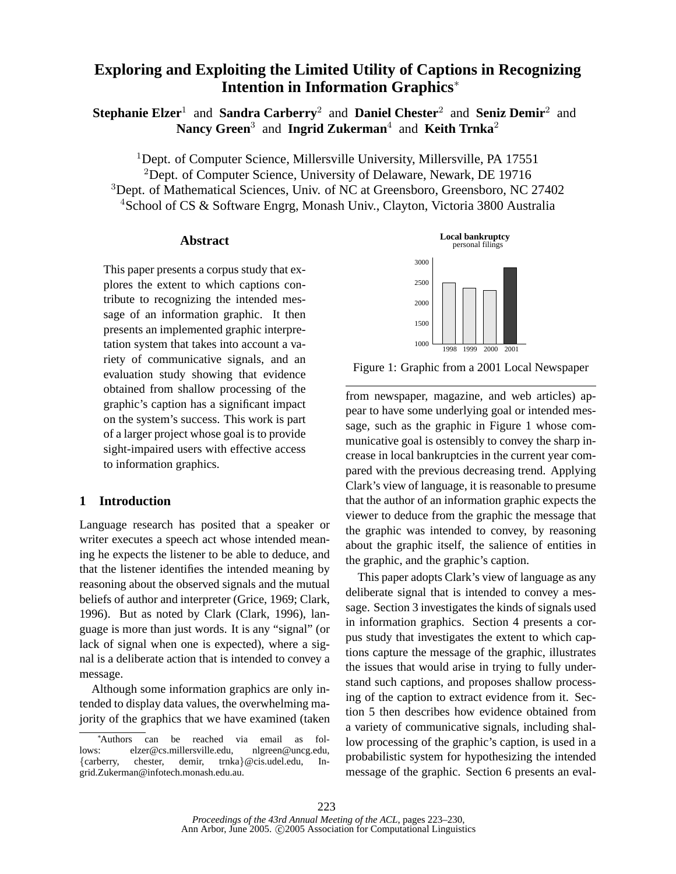# **Exploring and Exploiting the Limited Utility of Captions in Recognizing Intention in Information Graphics**<sup>∗</sup>

**Stephanie Elzer<sup>1</sup> and Sandra Carberry<sup>2</sup> and Daniel Chester<sup>2</sup> and Seniz Demir<sup>2</sup> and Nancy Green**<sup>3</sup> and **Ingrid Zukerman**<sup>4</sup> and **Keith Trnka**<sup>2</sup>

<sup>1</sup>Dept. of Computer Science, Millersville University, Millersville, PA 17551 <sup>2</sup>Dept. of Computer Science, University of Delaware, Newark, DE 19716 <sup>3</sup>Dept. of Mathematical Sciences, Univ. of NC at Greensboro, Greensboro, NC 27402 <sup>4</sup>School of CS & Software Engrg, Monash Univ., Clayton, Victoria 3800 Australia

#### **Abstract**

This paper presents a corpus study that explores the extent to which captions contribute to recognizing the intended message of an information graphic. It then presents an implemented graphic interpretation system that takes into account a variety of communicative signals, and an evaluation study showing that evidence obtained from shallow processing of the graphic's caption has a significant impact on the system's success. This work is part of a larger project whose goal is to provide sight-impaired users with effective access to information graphics.

### **1 Introduction**

Language research has posited that a speaker or writer executes a speech act whose intended meaning he expects the listener to be able to deduce, and that the listener identifies the intended meaning by reasoning about the observed signals and the mutual beliefs of author and interpreter (Grice, 1969; Clark, 1996). But as noted by Clark (Clark, 1996), language is more than just words. It is any "signal" (or lack of signal when one is expected), where a signal is a deliberate action that is intended to convey a message.

Although some information graphics are only intended to display data values, the overwhelming majority of the graphics that we have examined (taken

1998 1999 2000 2001 1000 1500 2000 2500 3000 personal filings **Local bankruptcy**

Figure 1: Graphic from a 2001 Local Newspaper

from newspaper, magazine, and web articles) appear to have some underlying goal or intended message, such as the graphic in Figure 1 whose communicative goal is ostensibly to convey the sharp increase in local bankruptcies in the current year compared with the previous decreasing trend. Applying Clark's view of language, it is reasonable to presume that the author of an information graphic expects the viewer to deduce from the graphic the message that the graphic was intended to convey, by reasoning about the graphic itself, the salience of entities in the graphic, and the graphic's caption.

This paper adopts Clark's view of language as any deliberate signal that is intended to convey a message. Section 3 investigates the kinds of signals used in information graphics. Section 4 presents a corpus study that investigates the extent to which captions capture the message of the graphic, illustrates the issues that would arise in trying to fully understand such captions, and proposes shallow processing of the caption to extract evidence from it. Section 5 then describes how evidence obtained from a variety of communicative signals, including shallow processing of the graphic's caption, is used in a probabilistic system for hypothesizing the intended message of the graphic. Section 6 presents an eval-

<sup>∗</sup>Authors can be reached via email as follows: elzer@cs.millersville.edu, nlgreen@uncg.edu, {carberry, chester, demir, trnka}@cis.udel.edu, Ingrid.Zukerman@infotech.monash.edu.au.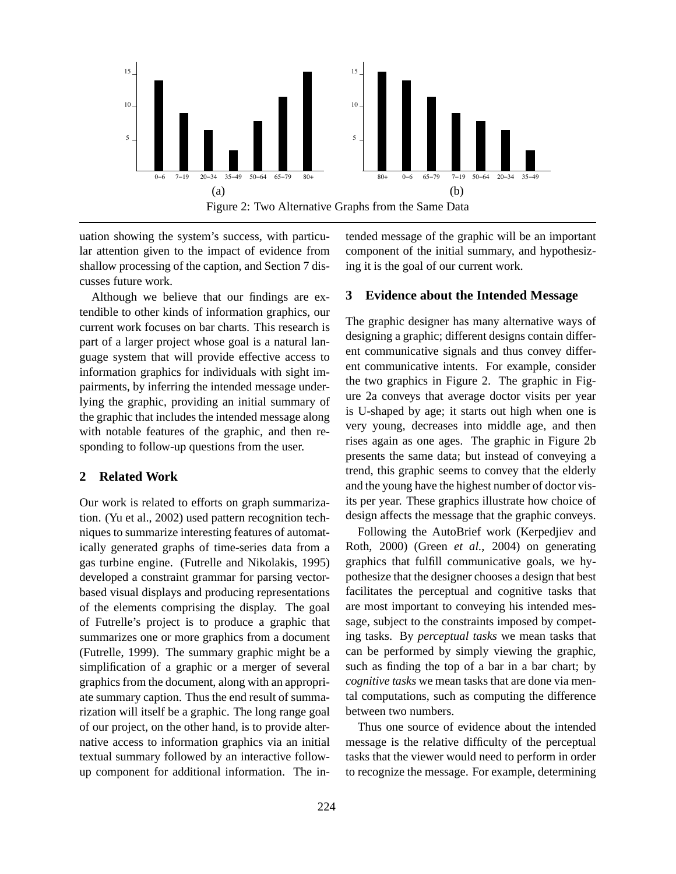

uation showing the system's success, with particular attention given to the impact of evidence from shallow processing of the caption, and Section 7 discusses future work.

Although we believe that our findings are extendible to other kinds of information graphics, our current work focuses on bar charts. This research is part of a larger project whose goal is a natural language system that will provide effective access to information graphics for individuals with sight impairments, by inferring the intended message underlying the graphic, providing an initial summary of the graphic that includes the intended message along with notable features of the graphic, and then responding to follow-up questions from the user.

## **2 Related Work**

Our work is related to efforts on graph summarization. (Yu et al., 2002) used pattern recognition techniques to summarize interesting features of automatically generated graphs of time-series data from a gas turbine engine. (Futrelle and Nikolakis, 1995) developed a constraint grammar for parsing vectorbased visual displays and producing representations of the elements comprising the display. The goal of Futrelle's project is to produce a graphic that summarizes one or more graphics from a document (Futrelle, 1999). The summary graphic might be a simplification of a graphic or a merger of several graphics from the document, along with an appropriate summary caption. Thus the end result of summarization will itself be a graphic. The long range goal of our project, on the other hand, is to provide alternative access to information graphics via an initial textual summary followed by an interactive followup component for additional information. The intended message of the graphic will be an important component of the initial summary, and hypothesizing it is the goal of our current work.

#### **3 Evidence about the Intended Message**

The graphic designer has many alternative ways of designing a graphic; different designs contain different communicative signals and thus convey different communicative intents. For example, consider the two graphics in Figure 2. The graphic in Figure 2a conveys that average doctor visits per year is U-shaped by age; it starts out high when one is very young, decreases into middle age, and then rises again as one ages. The graphic in Figure 2b presents the same data; but instead of conveying a trend, this graphic seems to convey that the elderly and the young have the highest number of doctor visits per year. These graphics illustrate how choice of design affects the message that the graphic conveys.

Following the AutoBrief work (Kerpedjiev and Roth, 2000) (Green *et al.*, 2004) on generating graphics that fulfill communicative goals, we hypothesize that the designer chooses a design that best facilitates the perceptual and cognitive tasks that are most important to conveying his intended message, subject to the constraints imposed by competing tasks. By *perceptual tasks* we mean tasks that can be performed by simply viewing the graphic, such as finding the top of a bar in a bar chart; by *cognitive tasks* we mean tasks that are done via mental computations, such as computing the difference between two numbers.

Thus one source of evidence about the intended message is the relative difficulty of the perceptual tasks that the viewer would need to perform in order to recognize the message. For example, determining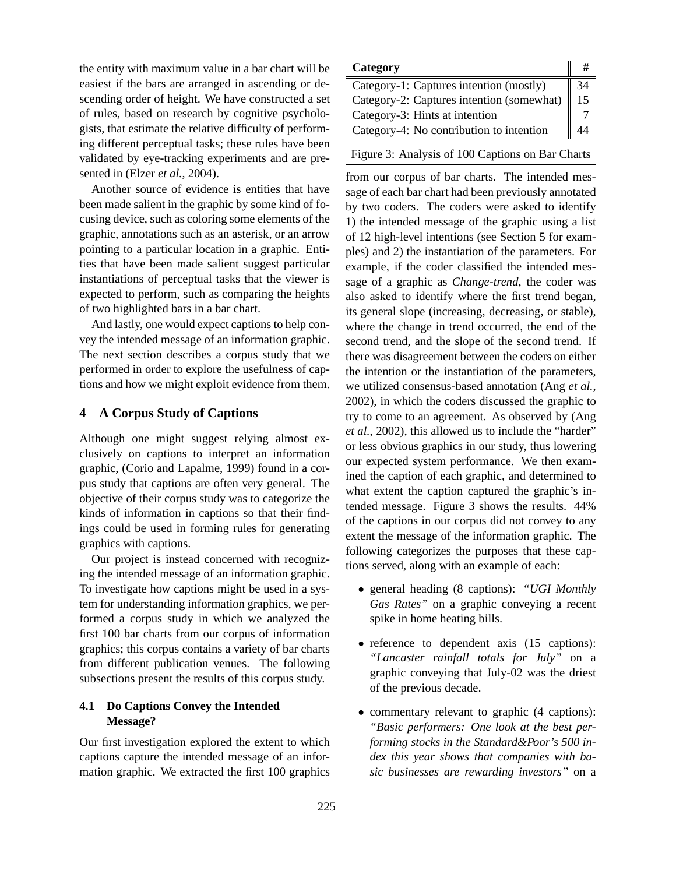the entity with maximum value in a bar chart will be easiest if the bars are arranged in ascending or descending order of height. We have constructed a set of rules, based on research by cognitive psychologists, that estimate the relative difficulty of performing different perceptual tasks; these rules have been validated by eye-tracking experiments and are presented in (Elzer *et al.*, 2004).

Another source of evidence is entities that have been made salient in the graphic by some kind of focusing device, such as coloring some elements of the graphic, annotations such as an asterisk, or an arrow pointing to a particular location in a graphic. Entities that have been made salient suggest particular instantiations of perceptual tasks that the viewer is expected to perform, such as comparing the heights of two highlighted bars in a bar chart.

And lastly, one would expect captions to help convey the intended message of an information graphic. The next section describes a corpus study that we performed in order to explore the usefulness of captions and how we might exploit evidence from them.

## **4 A Corpus Study of Captions**

Although one might suggest relying almost exclusively on captions to interpret an information graphic, (Corio and Lapalme, 1999) found in a corpus study that captions are often very general. The objective of their corpus study was to categorize the kinds of information in captions so that their findings could be used in forming rules for generating graphics with captions.

Our project is instead concerned with recognizing the intended message of an information graphic. To investigate how captions might be used in a system for understanding information graphics, we performed a corpus study in which we analyzed the first 100 bar charts from our corpus of information graphics; this corpus contains a variety of bar charts from different publication venues. The following subsections present the results of this corpus study.

## **4.1 Do Captions Convey the Intended Message?**

Our first investigation explored the extent to which captions capture the intended message of an information graphic. We extracted the first 100 graphics

| Category                                  |    |
|-------------------------------------------|----|
| Category-1: Captures intention (mostly)   | 34 |
| Category-2: Captures intention (somewhat) | 15 |
| Category-3: Hints at intention            |    |
| Category-4: No contribution to intention  |    |

Figure 3: Analysis of 100 Captions on Bar Charts

from our corpus of bar charts. The intended message of each bar chart had been previously annotated by two coders. The coders were asked to identify 1) the intended message of the graphic using a list of 12 high-level intentions (see Section 5 for examples) and 2) the instantiation of the parameters. For example, if the coder classified the intended message of a graphic as *Change-trend*, the coder was also asked to identify where the first trend began, its general slope (increasing, decreasing, or stable), where the change in trend occurred, the end of the second trend, and the slope of the second trend. If there was disagreement between the coders on either the intention or the instantiation of the parameters, we utilized consensus-based annotation (Ang *et al.*, 2002), in which the coders discussed the graphic to try to come to an agreement. As observed by (Ang *et al.*, 2002), this allowed us to include the "harder" or less obvious graphics in our study, thus lowering our expected system performance. We then examined the caption of each graphic, and determined to what extent the caption captured the graphic's intended message. Figure 3 shows the results. 44% of the captions in our corpus did not convey to any extent the message of the information graphic. The following categorizes the purposes that these captions served, along with an example of each:

- general heading (8 captions): *"UGI Monthly Gas Rates"* on a graphic conveying a recent spike in home heating bills.
- reference to dependent axis (15 captions): *"Lancaster rainfall totals for July"* on a graphic conveying that July-02 was the driest of the previous decade.
- commentary relevant to graphic (4 captions): *"Basic performers: One look at the best performing stocks in the Standard&Poor's 500 index this year shows that companies with basic businesses are rewarding investors"* on a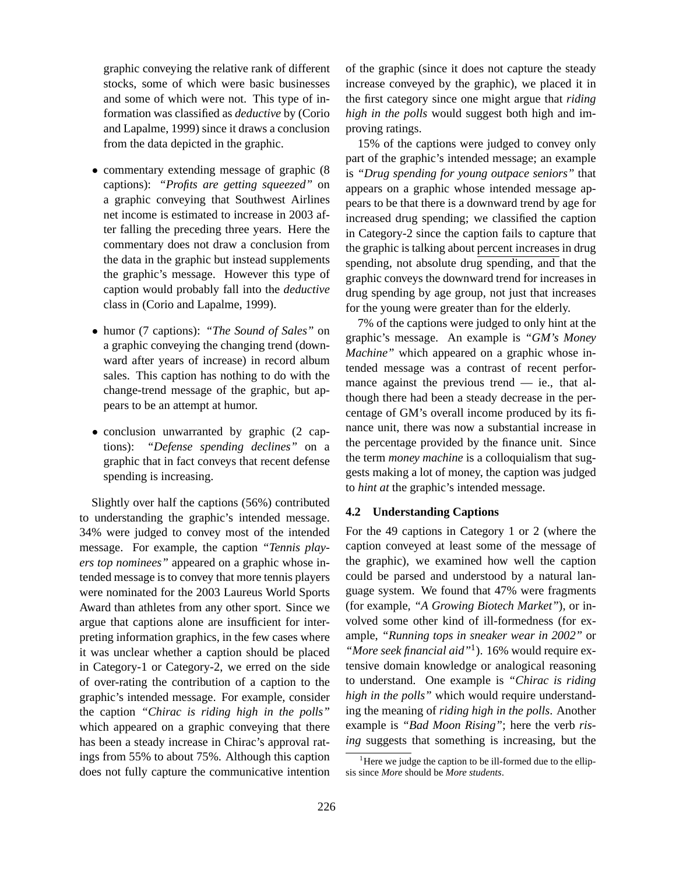graphic conveying the relative rank of different stocks, some of which were basic businesses and some of which were not. This type of information was classified as *deductive* by (Corio and Lapalme, 1999) since it draws a conclusion from the data depicted in the graphic.

- commentary extending message of graphic (8 captions): *"Profits are getting squeezed"* on a graphic conveying that Southwest Airlines net income is estimated to increase in 2003 after falling the preceding three years. Here the commentary does not draw a conclusion from the data in the graphic but instead supplements the graphic's message. However this type of caption would probably fall into the *deductive* class in (Corio and Lapalme, 1999).
- humor (7 captions): *"The Sound of Sales"* on a graphic conveying the changing trend (downward after years of increase) in record album sales. This caption has nothing to do with the change-trend message of the graphic, but appears to be an attempt at humor.
- conclusion unwarranted by graphic (2 captions): *"Defense spending declines"* on a graphic that in fact conveys that recent defense spending is increasing.

Slightly over half the captions (56%) contributed to understanding the graphic's intended message. 34% were judged to convey most of the intended message. For example, the caption *"Tennis players top nominees"* appeared on a graphic whose intended message is to convey that more tennis players were nominated for the 2003 Laureus World Sports Award than athletes from any other sport. Since we argue that captions alone are insufficient for interpreting information graphics, in the few cases where it was unclear whether a caption should be placed in Category-1 or Category-2, we erred on the side of over-rating the contribution of a caption to the graphic's intended message. For example, consider the caption *"Chirac is riding high in the polls"* which appeared on a graphic conveying that there has been a steady increase in Chirac's approval ratings from 55% to about 75%. Although this caption does not fully capture the communicative intention of the graphic (since it does not capture the steady increase conveyed by the graphic), we placed it in the first category since one might argue that *riding high in the polls* would suggest both high and improving ratings.

15% of the captions were judged to convey only part of the graphic's intended message; an example is *"Drug spending for young outpace seniors"* that appears on a graphic whose intended message appears to be that there is a downward trend by age for increased drug spending; we classified the caption in Category-2 since the caption fails to capture that the graphic is talking about percent increases in drug spending, not absolute drug spending, and that the graphic conveys the downward trend for increases in drug spending by age group, not just that increases for the young were greater than for the elderly.

7% of the captions were judged to only hint at the graphic's message. An example is *"GM's Money Machine"* which appeared on a graphic whose intended message was a contrast of recent performance against the previous trend — ie., that although there had been a steady decrease in the percentage of GM's overall income produced by its finance unit, there was now a substantial increase in the percentage provided by the finance unit. Since the term *money machine* is a colloquialism that suggests making a lot of money, the caption was judged to *hint at* the graphic's intended message.

#### **4.2 Understanding Captions**

For the 49 captions in Category 1 or 2 (where the caption conveyed at least some of the message of the graphic), we examined how well the caption could be parsed and understood by a natural language system. We found that 47% were fragments (for example, *"A Growing Biotech Market"*), or involved some other kind of ill-formedness (for example, *"Running tops in sneaker wear in 2002"* or "More seek financial aid"<sup>1</sup>). 16% would require extensive domain knowledge or analogical reasoning to understand. One example is *"Chirac is riding high in the polls"* which would require understanding the meaning of *riding high in the polls*. Another example is *"Bad Moon Rising"*; here the verb *rising* suggests that something is increasing, but the

 $1$ <sup>1</sup>Here we judge the caption to be ill-formed due to the ellipsis since *More* should be *More students*.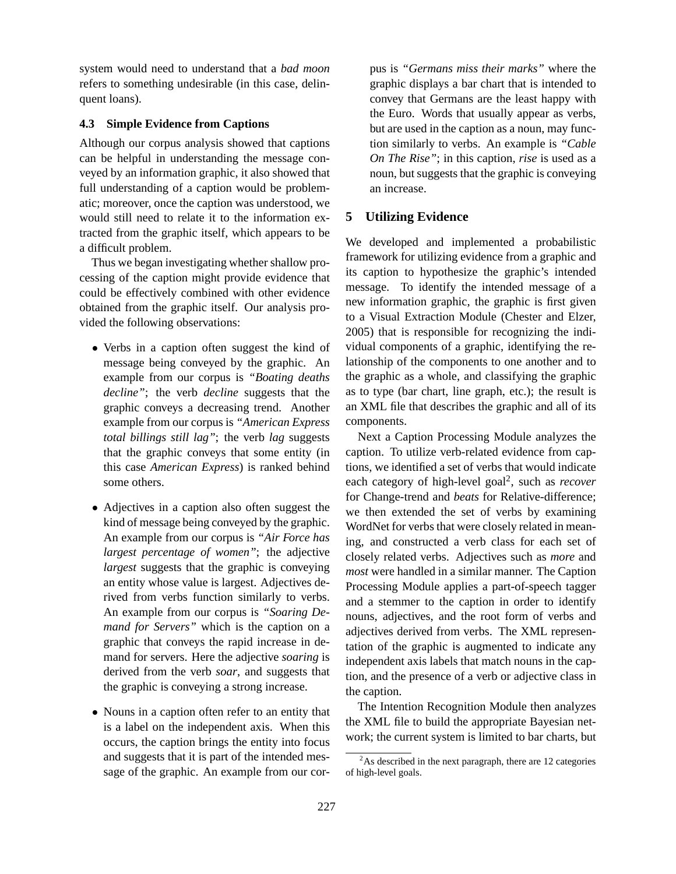system would need to understand that a *bad moon* refers to something undesirable (in this case, delinquent loans).

### **4.3 Simple Evidence from Captions**

Although our corpus analysis showed that captions can be helpful in understanding the message conveyed by an information graphic, it also showed that full understanding of a caption would be problematic; moreover, once the caption was understood, we would still need to relate it to the information extracted from the graphic itself, which appears to be a difficult problem.

Thus we began investigating whether shallow processing of the caption might provide evidence that could be effectively combined with other evidence obtained from the graphic itself. Our analysis provided the following observations:

- Verbs in a caption often suggest the kind of message being conveyed by the graphic. An example from our corpus is *"Boating deaths decline"*; the verb *decline* suggests that the graphic conveys a decreasing trend. Another example from our corpus is *"American Express total billings still lag"*; the verb *lag* suggests that the graphic conveys that some entity (in this case *American Express*) is ranked behind some others.
- Adjectives in a caption also often suggest the kind of message being conveyed by the graphic. An example from our corpus is *"Air Force has largest percentage of women"*; the adjective *largest* suggests that the graphic is conveying an entity whose value is largest. Adjectives derived from verbs function similarly to verbs. An example from our corpus is *"Soaring Demand for Servers"* which is the caption on a graphic that conveys the rapid increase in demand for servers. Here the adjective *soaring* is derived from the verb *soar*, and suggests that the graphic is conveying a strong increase.
- Nouns in a caption often refer to an entity that is a label on the independent axis. When this occurs, the caption brings the entity into focus and suggests that it is part of the intended message of the graphic. An example from our cor-

pus is *"Germans miss their marks"* where the graphic displays a bar chart that is intended to convey that Germans are the least happy with the Euro. Words that usually appear as verbs, but are used in the caption as a noun, may function similarly to verbs. An example is *"Cable On The Rise"*; in this caption, *rise* is used as a noun, but suggests that the graphic is conveying an increase.

## **5 Utilizing Evidence**

We developed and implemented a probabilistic framework for utilizing evidence from a graphic and its caption to hypothesize the graphic's intended message. To identify the intended message of a new information graphic, the graphic is first given to a Visual Extraction Module (Chester and Elzer, 2005) that is responsible for recognizing the individual components of a graphic, identifying the relationship of the components to one another and to the graphic as a whole, and classifying the graphic as to type (bar chart, line graph, etc.); the result is an XML file that describes the graphic and all of its components.

Next a Caption Processing Module analyzes the caption. To utilize verb-related evidence from captions, we identified a set of verbs that would indicate each category of high-level goal<sup>2</sup>, such as *recover* for Change-trend and *beats* for Relative-difference; we then extended the set of verbs by examining WordNet for verbs that were closely related in meaning, and constructed a verb class for each set of closely related verbs. Adjectives such as *more* and *most* were handled in a similar manner. The Caption Processing Module applies a part-of-speech tagger and a stemmer to the caption in order to identify nouns, adjectives, and the root form of verbs and adjectives derived from verbs. The XML representation of the graphic is augmented to indicate any independent axis labels that match nouns in the caption, and the presence of a verb or adjective class in the caption.

The Intention Recognition Module then analyzes the XML file to build the appropriate Bayesian network; the current system is limited to bar charts, but

 $2$ As described in the next paragraph, there are 12 categories of high-level goals.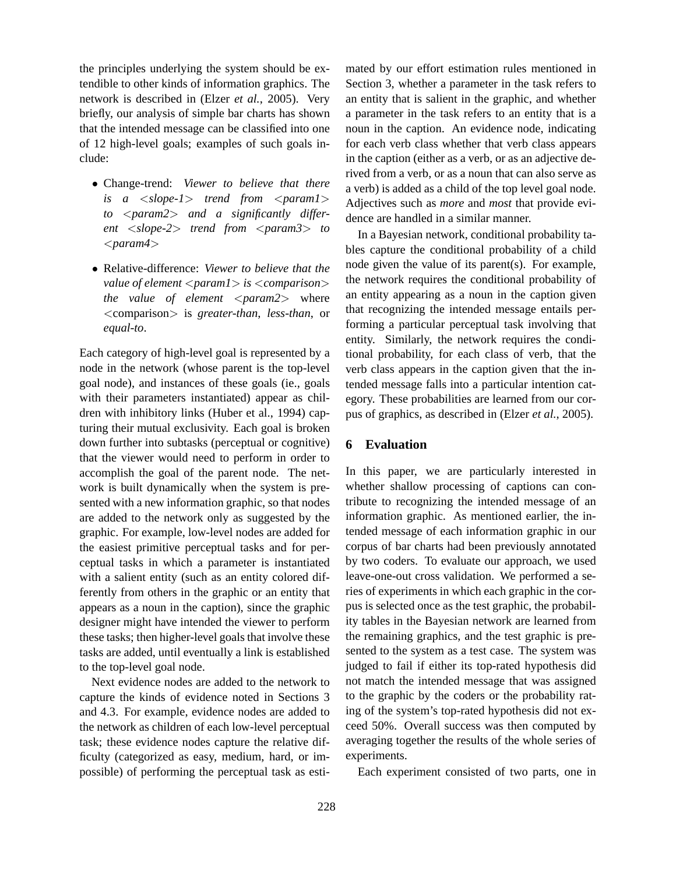the principles underlying the system should be extendible to other kinds of information graphics. The network is described in (Elzer *et al.*, 2005). Very briefly, our analysis of simple bar charts has shown that the intended message can be classified into one of 12 high-level goals; examples of such goals include:

- Change-trend: *Viewer to believe that there is a* <*slope-1*> *trend from* <*param1*> *to* <*param2*> *and a significantly different* <*slope-2*> *trend from* <*param3*> *to* <*param4*>
- Relative-difference: *Viewer to believe that the value of element* <*param1*> *is* <*comparison*> *the value of element* <*param2*> where <comparison> is *greater-than*, *less-than*, or *equal-to*.

Each category of high-level goal is represented by a node in the network (whose parent is the top-level goal node), and instances of these goals (ie., goals with their parameters instantiated) appear as children with inhibitory links (Huber et al., 1994) capturing their mutual exclusivity. Each goal is broken down further into subtasks (perceptual or cognitive) that the viewer would need to perform in order to accomplish the goal of the parent node. The network is built dynamically when the system is presented with a new information graphic, so that nodes are added to the network only as suggested by the graphic. For example, low-level nodes are added for the easiest primitive perceptual tasks and for perceptual tasks in which a parameter is instantiated with a salient entity (such as an entity colored differently from others in the graphic or an entity that appears as a noun in the caption), since the graphic designer might have intended the viewer to perform these tasks; then higher-level goals that involve these tasks are added, until eventually a link is established to the top-level goal node.

Next evidence nodes are added to the network to capture the kinds of evidence noted in Sections 3 and 4.3. For example, evidence nodes are added to the network as children of each low-level perceptual task; these evidence nodes capture the relative difficulty (categorized as easy, medium, hard, or impossible) of performing the perceptual task as estimated by our effort estimation rules mentioned in Section 3, whether a parameter in the task refers to an entity that is salient in the graphic, and whether a parameter in the task refers to an entity that is a noun in the caption. An evidence node, indicating for each verb class whether that verb class appears in the caption (either as a verb, or as an adjective derived from a verb, or as a noun that can also serve as a verb) is added as a child of the top level goal node. Adjectives such as *more* and *most* that provide evidence are handled in a similar manner.

In a Bayesian network, conditional probability tables capture the conditional probability of a child node given the value of its parent(s). For example, the network requires the conditional probability of an entity appearing as a noun in the caption given that recognizing the intended message entails performing a particular perceptual task involving that entity. Similarly, the network requires the conditional probability, for each class of verb, that the verb class appears in the caption given that the intended message falls into a particular intention category. These probabilities are learned from our corpus of graphics, as described in (Elzer *et al.*, 2005).

## **6 Evaluation**

In this paper, we are particularly interested in whether shallow processing of captions can contribute to recognizing the intended message of an information graphic. As mentioned earlier, the intended message of each information graphic in our corpus of bar charts had been previously annotated by two coders. To evaluate our approach, we used leave-one-out cross validation. We performed a series of experiments in which each graphic in the corpus is selected once as the test graphic, the probability tables in the Bayesian network are learned from the remaining graphics, and the test graphic is presented to the system as a test case. The system was judged to fail if either its top-rated hypothesis did not match the intended message that was assigned to the graphic by the coders or the probability rating of the system's top-rated hypothesis did not exceed 50%. Overall success was then computed by averaging together the results of the whole series of experiments.

Each experiment consisted of two parts, one in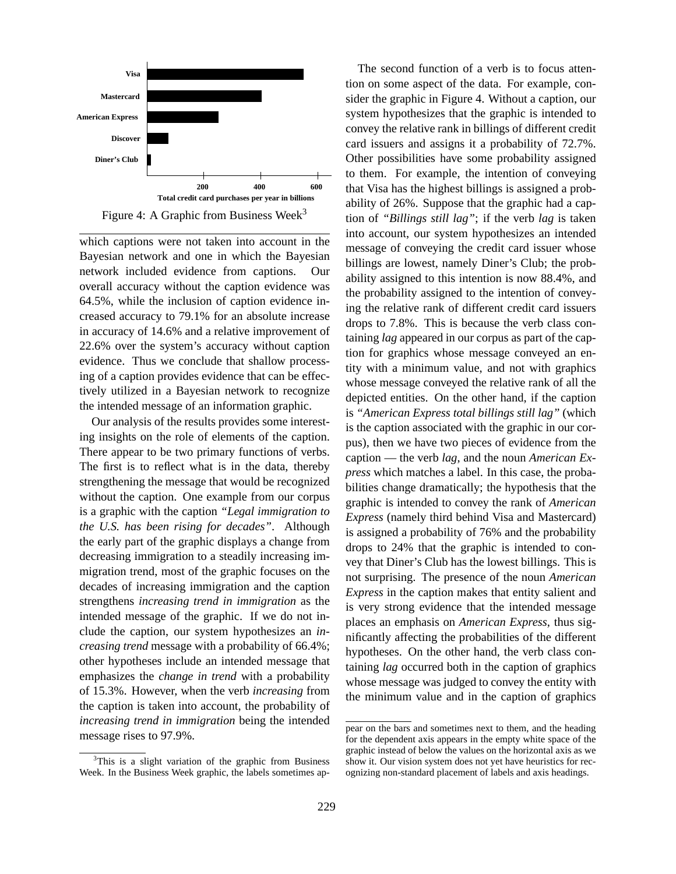

which captions were not taken into account in the Bayesian network and one in which the Bayesian network included evidence from captions. Our overall accuracy without the caption evidence was 64.5%, while the inclusion of caption evidence increased accuracy to 79.1% for an absolute increase in accuracy of 14.6% and a relative improvement of 22.6% over the system's accuracy without caption evidence. Thus we conclude that shallow processing of a caption provides evidence that can be effectively utilized in a Bayesian network to recognize the intended message of an information graphic.

Our analysis of the results provides some interesting insights on the role of elements of the caption. There appear to be two primary functions of verbs. The first is to reflect what is in the data, thereby strengthening the message that would be recognized without the caption. One example from our corpus is a graphic with the caption *"Legal immigration to the U.S. has been rising for decades"*. Although the early part of the graphic displays a change from decreasing immigration to a steadily increasing immigration trend, most of the graphic focuses on the decades of increasing immigration and the caption strengthens *increasing trend in immigration* as the intended message of the graphic. If we do not include the caption, our system hypothesizes an *increasing trend* message with a probability of 66.4%; other hypotheses include an intended message that emphasizes the *change in trend* with a probability of 15.3%. However, when the verb *increasing* from the caption is taken into account, the probability of *increasing trend in immigration* being the intended message rises to 97.9%.

The second function of a verb is to focus attention on some aspect of the data. For example, consider the graphic in Figure 4. Without a caption, our system hypothesizes that the graphic is intended to convey the relative rank in billings of different credit card issuers and assigns it a probability of 72.7%. Other possibilities have some probability assigned to them. For example, the intention of conveying that Visa has the highest billings is assigned a probability of 26%. Suppose that the graphic had a caption of *"Billings still lag"*; if the verb *lag* is taken into account, our system hypothesizes an intended message of conveying the credit card issuer whose billings are lowest, namely Diner's Club; the probability assigned to this intention is now 88.4%, and the probability assigned to the intention of conveying the relative rank of different credit card issuers drops to 7.8%. This is because the verb class containing *lag* appeared in our corpus as part of the caption for graphics whose message conveyed an entity with a minimum value, and not with graphics whose message conveyed the relative rank of all the depicted entities. On the other hand, if the caption is *"American Express total billings still lag"* (which is the caption associated with the graphic in our corpus), then we have two pieces of evidence from the caption — the verb *lag*, and the noun *American Express* which matches a label. In this case, the probabilities change dramatically; the hypothesis that the graphic is intended to convey the rank of *American Express* (namely third behind Visa and Mastercard) is assigned a probability of 76% and the probability drops to 24% that the graphic is intended to convey that Diner's Club has the lowest billings. This is not surprising. The presence of the noun *American Express* in the caption makes that entity salient and is very strong evidence that the intended message places an emphasis on *American Express*, thus significantly affecting the probabilities of the different hypotheses. On the other hand, the verb class containing *lag* occurred both in the caption of graphics whose message was judged to convey the entity with the minimum value and in the caption of graphics

<sup>&</sup>lt;sup>3</sup>This is a slight variation of the graphic from Business Week. In the Business Week graphic, the labels sometimes ap-

pear on the bars and sometimes next to them, and the heading for the dependent axis appears in the empty white space of the graphic instead of below the values on the horizontal axis as we show it. Our vision system does not yet have heuristics for recognizing non-standard placement of labels and axis headings.